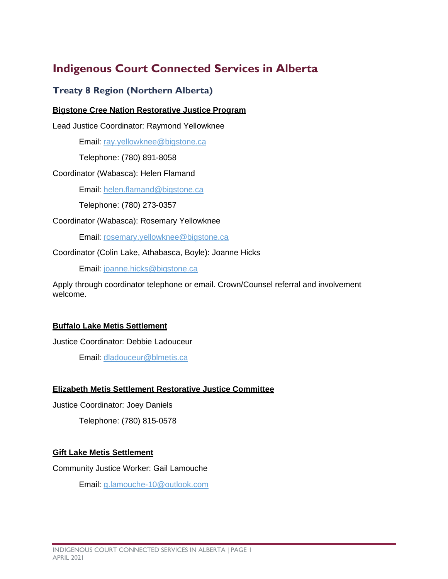# **Indigenous Court Connected Services in Alberta**

# **Treaty 8 Region (Northern Alberta)**

#### **Bigstone Cree Nation Restorative Justice Program**

Lead Justice Coordinator: Raymond Yellowknee

Email: [ray.yellowknee@bigstone.ca](mailto:ray.yellowknee@bigstone.ca)

Telephone: (780) 891-8058

#### Coordinator (Wabasca): Helen Flamand

Email: [helen.flamand@bigstone.ca](mailto:helen.flamand@bigstone.ca)

Telephone: (780) 273-0357

#### Coordinator (Wabasca): Rosemary Yellowknee

Email: [rosemary.yellowknee@bigstone.ca](mailto:rosemary.yellowknee@bigstone.ca)

Coordinator (Colin Lake, Athabasca, Boyle): Joanne Hicks

Email: [joanne.hicks@bigstone.ca](mailto:joanne.hicks@bigstone.ca)

Apply through coordinator telephone or email. Crown/Counsel referral and involvement welcome.

#### **Buffalo Lake Metis Settlement**

Justice Coordinator: Debbie Ladouceur

Email: [dladouceur@blmetis.ca](mailto:dladouceur@blmetis.ca)

## **Elizabeth Metis Settlement Restorative Justice Committee**

Justice Coordinator: Joey Daniels

Telephone: (780) 815-0578

#### **Gift Lake Metis Settlement**

Community Justice Worker: Gail Lamouche

Email: [g.lamouche-10@outlook.com](mailto:g.lamouche-10@outlook.com)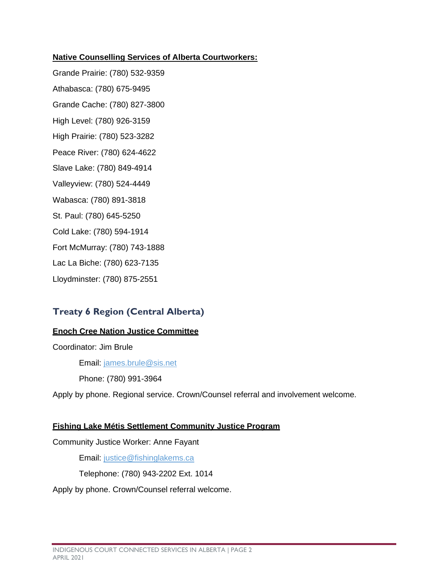#### **Native Counselling Services of Alberta Courtworkers:**

Grande Prairie: (780) 532-9359

Athabasca: (780) 675-9495

Grande Cache: (780) 827-3800

High Level: (780) 926-3159

High Prairie: (780) 523-3282

Peace River: (780) 624-4622

Slave Lake: (780) 849-4914

Valleyview: (780) 524-4449

Wabasca: (780) 891-3818

St. Paul: (780) 645-5250

Cold Lake: (780) 594-1914

Fort McMurray: (780) 743-1888

Lac La Biche: (780) 623-7135

Lloydminster: (780) 875-2551

# **Treaty 6 Region (Central Alberta)**

#### **Enoch Cree Nation Justice Committee**

Coordinator: Jim Brule

Email: [james.brule@sis.net](mailto:james.brule@sis.net)

Phone: (780) 991-3964

Apply by phone. Regional service. Crown/Counsel referral and involvement welcome.

#### **Fishing Lake Métis Settlement Community Justice Program**

Community Justice Worker: Anne Fayant

Email: [justice@fishinglakems.ca](mailto:justice@fishinglakems.ca)

Telephone: (780) 943-2202 Ext. 1014

Apply by phone. Crown/Counsel referral welcome.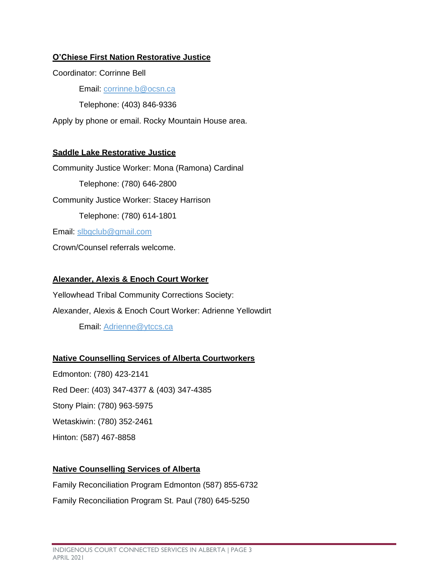#### **O'Chiese First Nation Restorative Justice**

Coordinator: Corrinne Bell Email: [corrinne.b@ocsn.ca](mailto:corrinne.b@ocsn.ca) Telephone: (403) 846-9336 Apply by phone or email. Rocky Mountain House area.

#### **Saddle Lake Restorative Justice**

Community Justice Worker: Mona (Ramona) Cardinal Telephone: (780) 646-2800 Community Justice Worker: Stacey Harrison Telephone: (780) 614-1801 Email: [slbgclub@gmail.com](mailto:slbgclub@gmail.com) Crown/Counsel referrals welcome.

#### **Alexander, Alexis & Enoch Court Worker**

Yellowhead Tribal Community Corrections Society: Alexander, Alexis & Enoch Court Worker: Adrienne Yellowdirt Email: [Adrienne@ytccs.ca](mailto:Adrienne@ytccs.ca)

## **Native Counselling Services of Alberta Courtworkers**

Edmonton: (780) 423-2141 Red Deer: (403) 347-4377 & (403) 347-4385 Stony Plain: (780) 963-5975 Wetaskiwin: (780) 352-2461 Hinton: (587) 467-8858

#### **Native Counselling Services of Alberta**

Family Reconciliation Program Edmonton (587) 855-6732 Family Reconciliation Program St. Paul (780) 645-5250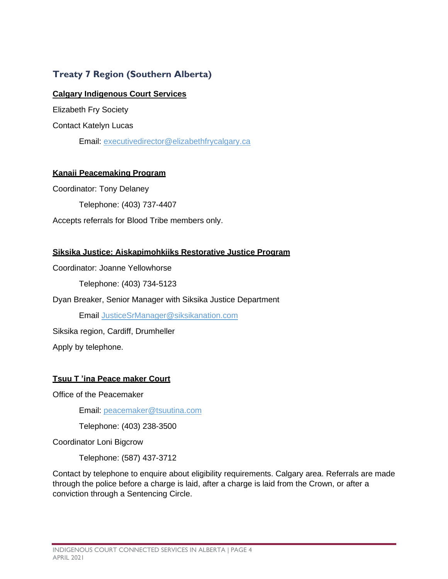# **Treaty 7 Region (Southern Alberta)**

#### **Calgary Indigenous Court Services**

Elizabeth Fry Society

Contact Katelyn Lucas

Email: [executivedirector@elizabethfrycalgary.ca](mailto:executivedirector@elizabethfrycalgary.ca)

#### **Kanaii Peacemaking Program**

Coordinator: Tony Delaney Telephone: (403) 737-4407 Accepts referrals for Blood Tribe members only.

#### **Siksika Justice: Aiskapimohkiiks Restorative Justice Program**

Coordinator: Joanne Yellowhorse

Telephone: (403) 734-5123

Dyan Breaker, Senior Manager with Siksika Justice Department

Email [JusticeSrManager@siksikanation.com](mailto:JusticeSrManager@siksikanation.com)

Siksika region, Cardiff, Drumheller

Apply by telephone.

#### **Tsuu T 'ina Peace maker Court**

Office of the Peacemaker

Email: [peacemaker@tsuutina.com](mailto:peacemaker@tsuutina.com)

Telephone: (403) 238-3500

Coordinator Loni Bigcrow

Telephone: (587) 437-3712

Contact by telephone to enquire about eligibility requirements. Calgary area. Referrals are made through the police before a charge is laid, after a charge is laid from the Crown, or after a conviction through a Sentencing Circle.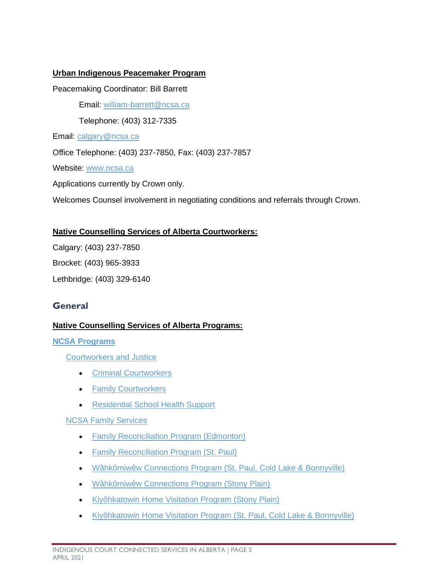#### **Urban Indigenous Peacemaker Program**

Peacemaking Coordinator: Bill Barrett Email: [william-barrett@ncsa.ca](mailto:william-barrett@ncsa.ca) Telephone: (403) 312-7335 Email: [calgary@ncsa.ca](mailto:calgary@ncsa.ca) Office Telephone: (403) 237-7850, Fax: (403) 237-7857 Website: [www.ncsa.ca](http://www.ncsa.ca/) Applications currently by Crown only. Welcomes Counsel involvement in negotiating conditions and referrals through Crown.

#### **Native Counselling Services of Alberta Courtworkers:**

Calgary: (403) 237-7850

Brocket: (403) 965-3933

Lethbridge: (403) 329-6140

## **General**

#### **Native Counselling Services of Alberta Programs:**

#### **[NCSA Programs](http://www.ncsa.ca/programs/)**

[Courtworkers and Justice](http://ncsa.ca/programs/help-with-court/)

- [Criminal Courtworkers](http://ncsa.ca/programs/help-with-court/criminal-courtworkers/)
- [Family Courtworkers](http://ncsa.ca/programs/help-with-court/family-courtworkers/)
- [Residential School Health Support](http://ncsa.ca/programs/help-with-court/residential-school-health-support-workers/)

#### [NCSA Family Services](http://ncsa.ca/programs/help-with-childrens-services/)

- [Family Reconciliation Program \(Edmonton\)](http://ncsa.ca/programs/help-with-childrens-services/frp/)
- [Family Reconciliation Program \(St. Paul\)](http://ncsa.ca/programs/help-with-childrens-services/family-reconciliation-program-st-paul/)
- [Wâhkômiwêw Connections Program \(St. Paul, Cold Lake & Bonnyville\)](http://ncsa.ca/programs/help-with-childrens-services/wahkomiwew-connections-program-st-paul/)
- [Wâhkômiwêw Connections Program \(Stony Plain\)](http://ncsa.ca/programs/help-with-childrens-services/wahkomiwew/)
- [Kiyôhkatowin Home Visitation Program \(Stony Plain\)](http://ncsa.ca/programs/help-with-childrens-services/kiyohkatowin-home-visitation-program/)
- [Kiyôhkatowin Home Visitation Program \(St. Paul, Cold Lake & Bonnyville\)](http://ncsa.ca/programs/help-with-childrens-services/kiyohkatowin-home-visitation-program-st-paul-cold-lake-bonnyville/)